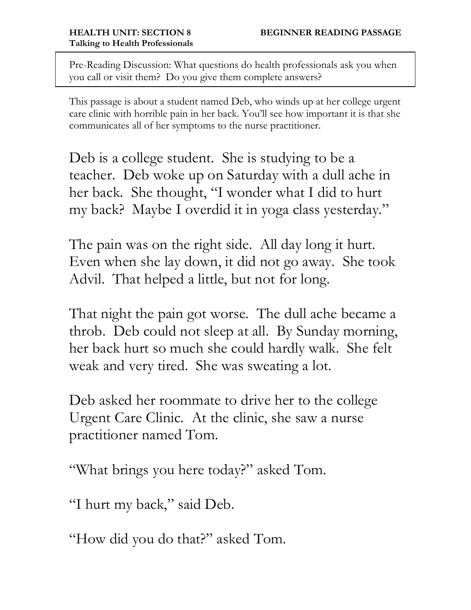Pre-Reading Discussion: What questions do health professionals ask you when you call or visit them? Do you give them complete answers?

This passage is about a student named Deb, who winds up at her college urgent care clinic with horrible pain in her back. You'll see how important it is that she communicates all of her symptoms to the nurse practitioner.

Deb is a college student. She is studying to be a teacher. Deb woke up on Saturday with a dull ache in her back. She thought, "I wonder what I did to hurt my back? Maybe I overdid it in yoga class yesterday."

The pain was on the right side. All day long it hurt. Even when she lay down, it did not go away. She took Advil. That helped a little, but not for long.

That night the pain got worse. The dull ache became a throb. Deb could not sleep at all. By Sunday morning, her back hurt so much she could hardly walk. She felt weak and very tired. She was sweating a lot.

Deb asked her roommate to drive her to the college Urgent Care Clinic. At the clinic, she saw a nurse practitioner named Tom.

"What brings you here today?" asked Tom.

"I hurt my back," said Deb.

"How did you do that?" asked Tom.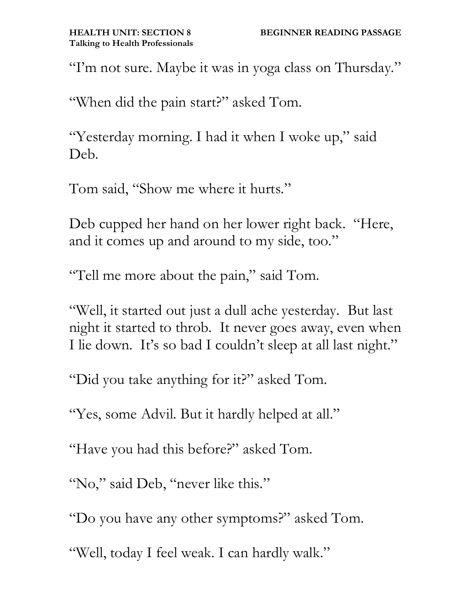"I'm not sure. Maybe it was in yoga class on Thursday."

"When did the pain start?" asked Tom.

"Yesterday morning. I had it when I woke up," said Deb.

Tom said, "Show me where it hurts."

Deb cupped her hand on her lower right back. "Here, and it comes up and around to my side, too."

"Tell me more about the pain," said Tom.

"Well, it started out just a dull ache yesterday. But last night it started to throb. It never goes away, even when I lie down. It's so bad I couldn't sleep at all last night."

"Did you take anything for it?" asked Tom.

"Yes, some Advil. But it hardly helped at all."

"Have you had this before?" asked Tom.

"No," said Deb, "never like this."

"Do you have any other symptoms?" asked Tom.

"Well, today I feel weak. I can hardly walk."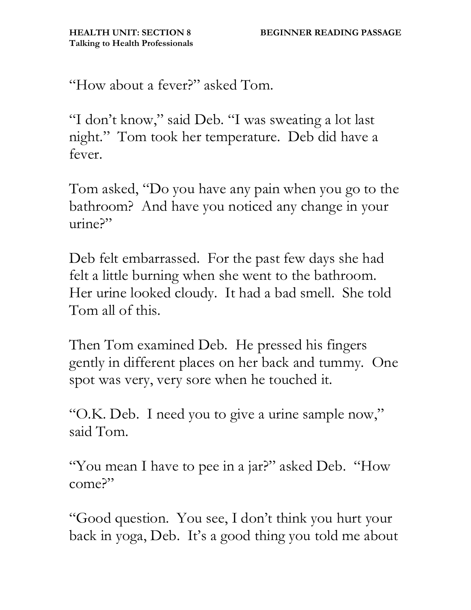"How about a fever?" asked Tom.

"I don't know," said Deb. "I was sweating a lot last night." Tom took her temperature. Deb did have a fever.

Tom asked, "Do you have any pain when you go to the bathroom? And have you noticed any change in your urine?"

Deb felt embarrassed. For the past few days she had felt a little burning when she went to the bathroom. Her urine looked cloudy. It had a bad smell. She told Tom all of this.

Then Tom examined Deb. He pressed his fingers gently in different places on her back and tummy. One spot was very, very sore when he touched it.

"O.K. Deb. I need you to give a urine sample now," said Tom.

"You mean I have to pee in a jar?" asked Deb. "How come?"

"Good question. You see, I don't think you hurt your back in yoga, Deb. It's a good thing you told me about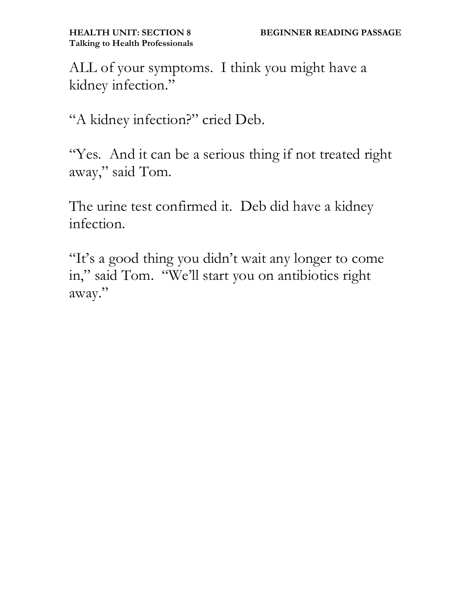ALL of your symptoms. I think you might have a kidney infection."

"A kidney infection?" cried Deb.

"Yes. And it can be a serious thing if not treated right away," said Tom.

The urine test confirmed it. Deb did have a kidney infection.

"It's a good thing you didn't wait any longer to come in," said Tom. "We'll start you on antibiotics right away."